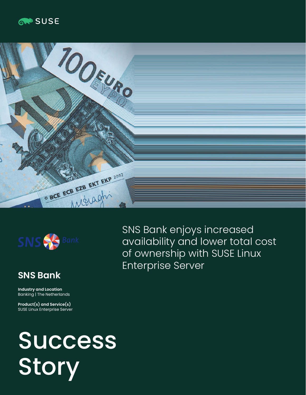





# **SNS Bank**

**Industry and Location**  Banking | The Netherlands

**Product(s) and Service(s)** SUSE Linux Enterprise Server

SNS Bank enjoys increased availability and lower total cost of ownership with SUSE Linux Enterprise Server

# **Success** Story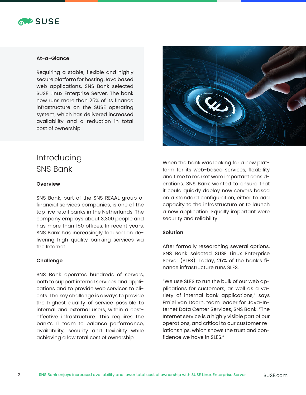

#### **At-a-Glance**

Requiring a stable, flexible and highly secure platform for hosting Java based web applications, SNS Bank selected SUSE Linux Enterprise Server. The bank now runs more than 25% of its finance infrastructure on the SUSE operating system, which has delivered increased availability and a reduction in total cost of ownership.



### **Overview**

SNS Bank, part of the SNS REAAL group of financial services companies, is one of the top five retail banks in the Netherlands. The company employs about 3,300 people and has more than 150 offices. In recent years, SNS Bank has increasingly focused on delivering high quality banking services via the Internet.

#### **Challenge**

SNS Bank operates hundreds of servers, both to support internal services and applications and to provide web services to clients. The key challenge is always to provide the highest quality of service possible to internal and external users, within a costeffective infrastructure. This requires the bank's IT team to balance performance, availability, security and flexibility while achieving a low total cost of ownership.



When the bank was looking for a new platform for its web-based services, flexibility and time to market were important considerations. SNS Bank wanted to ensure that it could quickly deploy new servers based on a standard configuration, either to add capacity to the infrastructure or to launch a new application. Equally important were security and reliability.

#### **Solution**

After formally researching several options, SNS Bank selected SUSE Linux Enterprise Server (SLES). Today, 25% of the bank's finance infrastructure runs SLES.

"We use SLES to run the bulk of our web applications for customers, as well as a variety of internal bank applications," says Emiel van Doorn, team leader for Java-Internet Data Center Services, SNS Bank. "The Internet service is a highly visible part of our operations, and critical to our customer relationships, which shows the trust and confidence we have in SLES."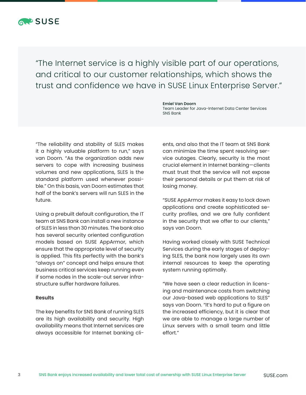

"The Internet service is a highly visible part of our operations, and critical to our customer relationships, which shows the trust and confidence we have in SUSE Linux Enterprise Server."

**Emiel Van Doorn**

SNS Bank

"The reliability and stability of SLES makes it a highly valuable platform to run," says van Doorn. "As the organization adds new servers to cope with increasing business volumes and new applications, SLES is the standard platform used whenever possible." On this basis, van Doorn estimates that half of the bank's servers will run SLES in the future.

Using a prebuilt default configuration, the IT team at SNS Bank can install a new instance of SLES in less than 30 minutes. The bank also has several security oriented configuration models based on SUSE AppArmor, which ensure that the appropriate level of security is applied. This fits perfectly with the bank's "always on" concept and helps ensure that business critical services keep running even if some nodes in the scale-out server infrastructure suffer hardware failures.

#### **Results**

The key benefits for SNS Bank of running SLES are its high availability and security. High availability means that Internet services are always accessible for Internet banking cli-

ents, and also that the IT team at SNS Bank can minimize the time spent resolving service outages. Clearly, security is the most crucial element in Internet banking—clients must trust that the service will not expose their personal details or put them at risk of losing money.

Team Leader for Java-Internet Data Center Services

"SUSE AppArmor makes it easy to lock down applications and create sophisticated security profiles, and we are fully confident in the security that we offer to our clients," says van Doorn.

Having worked closely with SUSE Technical Services during the early stages of deploying SLES, the bank now largely uses its own internal resources to keep the operating system running optimally.

"We have seen a clear reduction in licensing and maintenance costs from switching our Java-based web applications to SLES" says van Doorn. "It's hard to put a figure on the increased efficiency, but it is clear that we are able to manage a large number of Linux servers with a small team and little effort."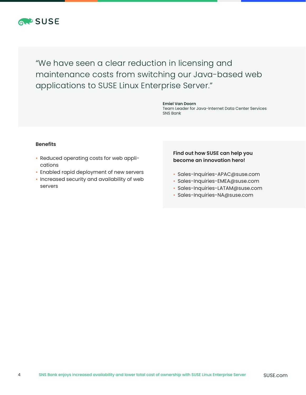

"We have seen a clear reduction in licensing and maintenance costs from switching our Java-based web applications to SUSE Linux Enterprise Server."

> **Emiel Van Doorn** Team Leader for Java-Internet Data Center Services SNS Bank

#### **Benefits**

- Reduced operating costs for web applications
- Enabled rapid deployment of new servers
- Increased security and availability of web servers

## **Find out how SUSE can help you become an innovation hero!**

- Sales-Inquiries-APAC@suse.com
- Sales-Inquiries-EMEA@suse.com
- Sales-Inquiries-LATAM@suse.com
- Sales-Inquiries-NA@suse.com